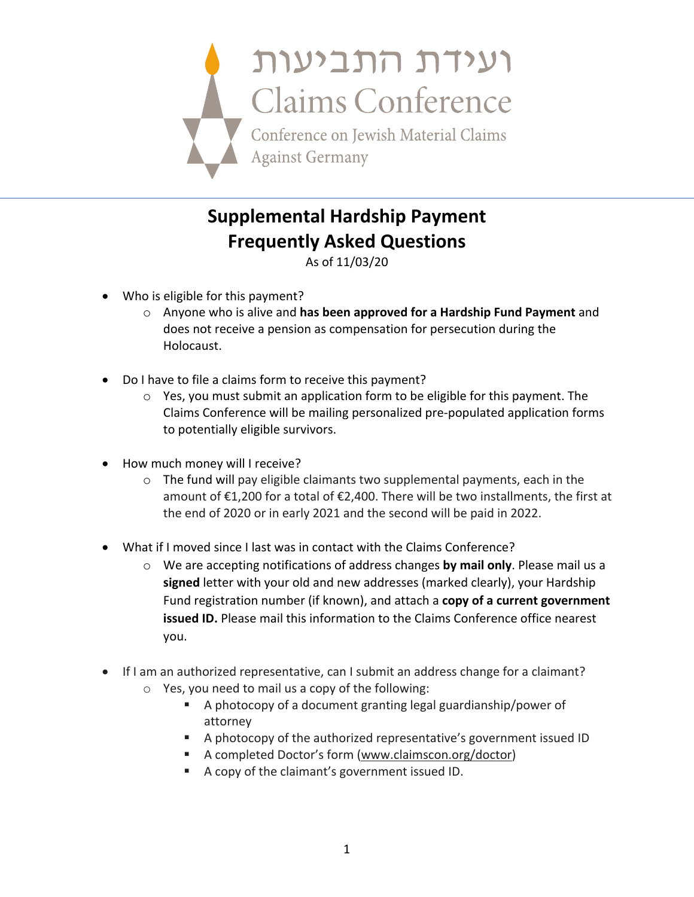

## **Supplemental Hardship Payment Frequently Asked Questions**

As of 11/03/20

- Who is eligible for this payment?
	- o Anyone who is alive and **has been approved for a Hardship Fund Payment** and does not receive a pension as compensation for persecution during the Holocaust.
- Do I have to file a claims form to receive this payment?
	- o Yes, you must submit an application form to be eligible for this payment. The Claims Conference will be mailing personalized pre-populated application forms to potentially eligible survivors.
- How much money will I receive?
	- $\circ$  The fund will pay eligible claimants two supplemental payments, each in the amount of €1,200 for a total of €2,400. There will be two installments, the first at the end of 2020 or in early 2021 and the second will be paid in 2022.
- What if I moved since I last was in contact with the Claims Conference?
	- o We are accepting notifications of address changes **by mail only**. Please mail us a **signed** letter with your old and new addresses (marked clearly), your Hardship Fund registration number (if known), and attach a **copy of a current government issued ID.** Please mail this information to the Claims Conference office nearest you.
- If I am an authorized representative, can I submit an address change for a claimant?
	- o Yes, you need to mail us a copy of the following:
		- A photocopy of a document granting legal guardianship/power of attorney
		- § A photocopy of the authorized representative's government issued ID
		- A completed Doctor's form (www.claimscon.org/doctor)
		- A copy of the claimant's government issued ID.